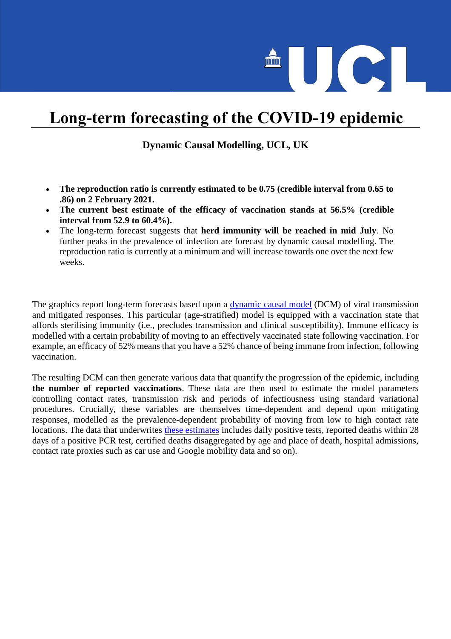

## **Long-term forecasting of the COVID-19 epidemic**

## **Dynamic Causal Modelling, UCL, UK**

- **The reproduction ratio is currently estimated to be 0.75 (credible interval from 0.65 to .86) on 2 February 2021.**
- **The current best estimate of the efficacy of vaccination stands at 56.5% (credible interval from 52.9 to 60.4%).**
- The long-term forecast suggests that **herd immunity will be reached in mid July**. No further peaks in the prevalence of infection are forecast by dynamic causal modelling. The reproduction ratio is currently at a minimum and will increase towards one over the next few weeks.

The graphics report long-term forecasts based upon a [dynamic causal model](https://www.fil.ion.ucl.ac.uk/spm/covid-19/) (DCM) of viral transmission and mitigated responses. This particular (age-stratified) model is equipped with a vaccination state that affords sterilising immunity (i.e., precludes transmission and clinical susceptibility). Immune efficacy is modelled with a certain probability of moving to an effectively vaccinated state following vaccination. For example, an efficacy of 52% means that you have a 52% chance of being immune from infection, following vaccination.

The resulting DCM can then generate various data that quantify the progression of the epidemic, including **the number of reported vaccinations**. These data are then used to estimate the model parameters controlling contact rates, transmission risk and periods of infectiousness using standard variational procedures. Crucially, these variables are themselves time-dependent and depend upon mitigating responses, modelled as the prevalence-dependent probability of moving from low to high contact rate locations. The data that underwrites [these estimates](https://www.fil.ion.ucl.ac.uk/spm/covid-19/dashboard/) includes daily positive tests, reported deaths within 28 days of a positive PCR test, certified deaths disaggregated by age and place of death, hospital admissions, contact rate proxies such as car use and Google mobility data and so on).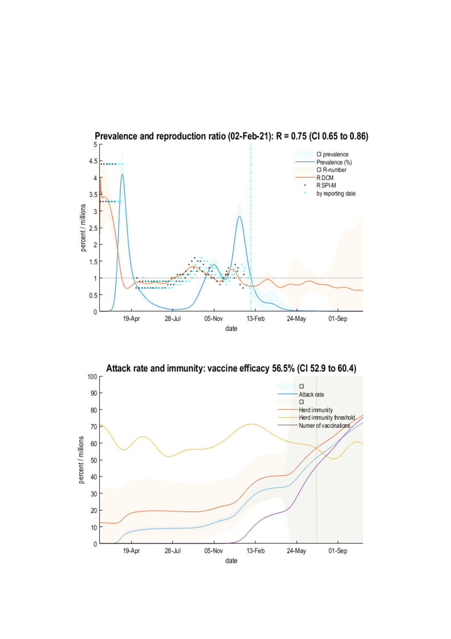